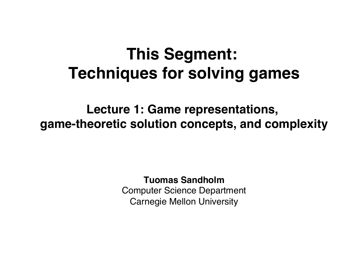### **This Segment: Techniques for solving games**

**Lecture 1: Game representations, game-theoretic solution concepts, and complexity**

#### **Tuomas Sandholm**

Computer Science Department Carnegie Mellon University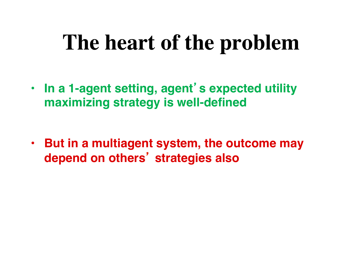# **The heart of the problem**

- **In a 1-agent setting, agent**'**s expected utility maximizing strategy is well-defined**
- **But in a multiagent system, the outcome may depend on others**' **strategies also**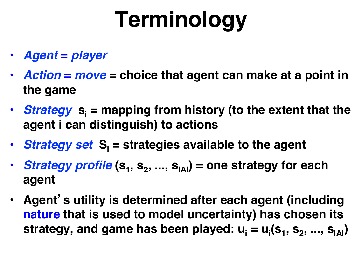# **Terminology**

- *Agent* **=** *player*
- *Action* **=** *move* **= choice that agent can make at a point in the game**
- **Strategy**  $s_i$  = mapping from history (to the extent that the **agent i can distinguish) to actions**
- **Strategy set S**<sub>i</sub> = strategies available to the agent
- *Strategy profile*  $(s_1, s_2, ..., s_{|A|})$  = one strategy for each **agent**
- **Agent**'**s utility is determined after each agent (including nature that is used to model uncertainty) has chosen its**  strategy, and game has been played: **u<sub>i</sub> = u<sub>i</sub>(s<sub>1</sub>, s<sub>2</sub>, ..., s<sub>IAI</sub>)**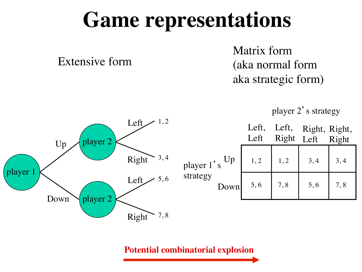# **Game representations**

Extensive form

Matrix form (aka normal form aka strategic form)





|                               | Left,<br>Left | Left,<br>Right | Right, Right,<br>Left | Right |
|-------------------------------|---------------|----------------|-----------------------|-------|
| Up<br>$\operatorname{tr} 1's$ | 1, 2          | 1, 2           | 3, 4                  | 3,4   |
| ʻgу<br>Down                   | 5,6           | 7,8            | 5,6                   | 7,8   |

**Potential combinatorial explosion**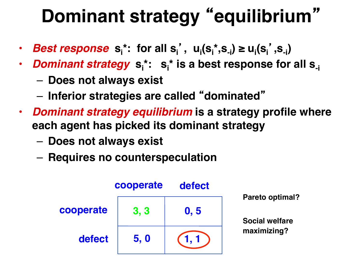# **Dominant strategy** "**equilibrium**"

- *Best response*  $s_i^*$ : for all  $s_i^{\prime}$ ,  $u_i(s_i^*, s_{-i}) \ge u_i(s_i^{\prime}, s_{-i})$
- *Dominant strategy*  $\mathbf{s}^{\text{*}}_{\text{i}}$ :  $\mathbf{s}^{\text{*}}_{\text{i}}$  is a best response for all  $\mathbf{s}_{\text{-} \text{i}}$ 
	- **Does not always exist**
	- **Inferior strategies are called** "**dominated**"
- *Dominant strategy equilibrium* **is a strategy profile where each agent has picked its dominant strategy**
	- **Does not always exist**
	- **Requires no counterspeculation**

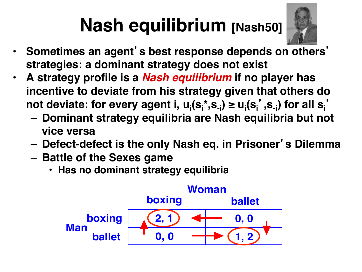# **Nash equilibrium [Nash50]**



- **Sometimes an agent**'**s best response depends on others**' **strategies: a dominant strategy does not exist**
- **A strategy profile is a** *Nash equilibrium* **if no player has incentive to deviate from his strategy given that others do not deviate: for every agent i, u<sub>i</sub>(s<sub>i</sub>\*,s<sub>-i</sub>) ≥ u<sub>i</sub>(s<sub>i</sub>',s<sub>-i</sub>) for all s<sub>i</sub>'** 
	- **Dominant strategy equilibria are Nash equilibria but not vice versa**
	- **Defect-defect is the only Nash eq. in Prisoner**'**s Dilemma**
	- **Battle of the Sexes game**
		- **Has no dominant strategy equilibria**

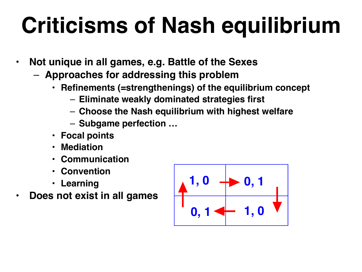# **Criticisms of Nash equilibrium**

- **Not unique in all games, e.g. Battle of the Sexes**
	- **Approaches for addressing this problem**
		- **Refinements (=strengthenings) of the equilibrium concept**
			- **Eliminate weakly dominated strategies first**
			- **Choose the Nash equilibrium with highest welfare**
			- **Subgame perfection …**
		- **Focal points**
		- **Mediation**
		- **Communication**
		- **Convention**
		- **Learning**
- **Does not exist in all games**

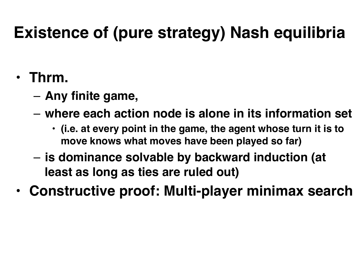### **Existence of (pure strategy) Nash equilibria**

#### • **Thrm.**

- **Any finite game,**
- **where each action node is alone in its information set** 
	- **(i.e. at every point in the game, the agent whose turn it is to move knows what moves have been played so far)**
- **is dominance solvable by backward induction (at least as long as ties are ruled out)**
- **Constructive proof: Multi-player minimax search**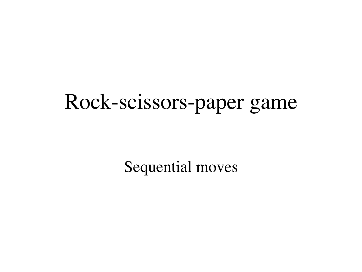# Rock-scissors-paper game

Sequential moves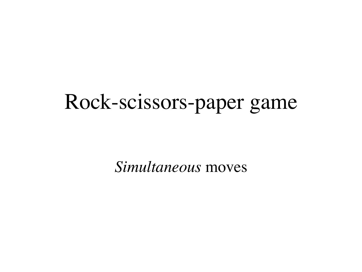# Rock-scissors-paper game

*Simultaneous* moves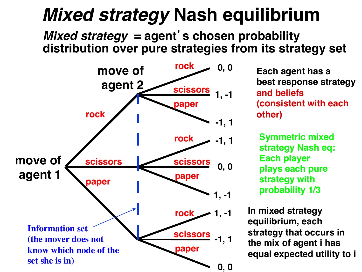## *Mixed strategy* **Nash equilibrium**

#### *Mixed strategy* **= agent**'**s chosen probability distribution over pure strategies from its strategy set**



**Each agent has a best response strategy and beliefs (consistent with each other)**

**Symmetric mixed strategy Nash eq: Each player plays each pure strategy with probability 1/3**

**In mixed strategy equilibrium, each strategy that occurs in the mix of agent i has equal expected utility to i**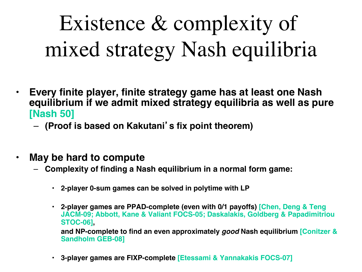Existence & complexity of mixed strategy Nash equilibria

- **Every finite player, finite strategy game has at least one Nash equilibrium if we admit mixed strategy equilibria as well as pure [Nash 50]**
	- **(Proof is based on Kakutani**'**s fix point theorem)**
- **May be hard to compute**
	- **Complexity of finding a Nash equilibrium in a normal form game:**
		- **2-player 0-sum games can be solved in polytime with LP**
		- **2-player games are PPAD-complete (even with 0/1 payoffs) [Chen, Deng & Teng JACM-09; Abbott, Kane & Valiant FOCS-05; Daskalakis, Goldberg & Papadimitriou STOC-06], and NP-complete to find an even approximately** *good* **Nash equilibrium [Conitzer & Sandholm GEB-08]**
		- **3-player games are FIXP-complete [Etessami & Yannakakis FOCS-07]**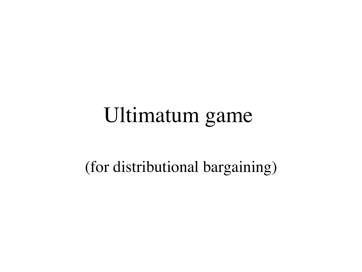# Ultimatum game

(for distributional bargaining)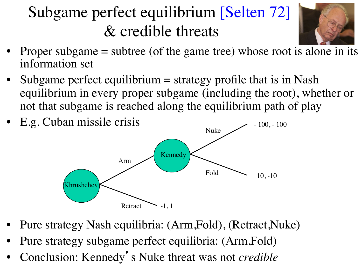### Subgame perfect equilibrium [Selten 72] & credible threats



- Proper subgame  $=$  subtree (of the game tree) whose root is alone in its information set
- Subgame perfect equilibrium = strategy profile that is in Nash equilibrium in every proper subgame (including the root), whether or not that subgame is reached along the equilibrium path of play



- Pure strategy Nash equilibria: (Arm,Fold), (Retract,Nuke)
- Pure strategy subgame perfect equilibria: (Arm,Fold)
- Conclusion: Kennedy's Nuke threat was not *credible*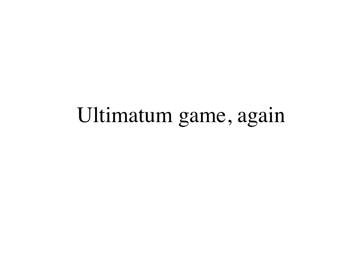# Ultimatum game, again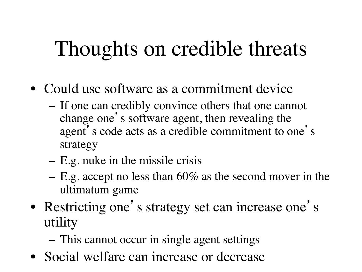# Thoughts on credible threats

- Could use software as a commitment device
	- If one can credibly convince others that one cannot change one's software agent, then revealing the agent's code acts as a credible commitment to one's strategy
	- E.g. nuke in the missile crisis
	- E.g. accept no less than 60% as the second mover in the ultimatum game
- Restricting one's strategy set can increase one's utility
	- This cannot occur in single agent settings
- Social welfare can increase or decrease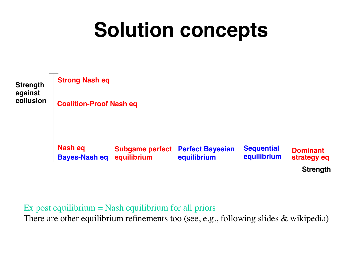# **Solution concepts**



#### Ex post equilibrium  $=$  Nash equilibrium for all priors

There are other equilibrium refinements too (see, e.g., following slides & wikipedia)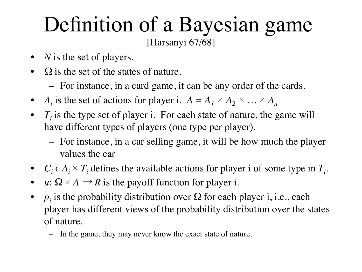#### Definition of a Bayesian game [Harsanyi 67/68]

- *N* is the set of players.
- $\Omega$  is the set of the states of nature.
	- For instance, in a card game, it can be any order of the cards.
- *A<sub>i</sub>* is the set of actions for player i.  $A = A_1 \times A_2 \times ... \times A_n$
- $T_i$  is the type set of player i. For each state of nature, the game will have different types of players (one type per player).
	- For instance, in a car selling game, it will be how much the player values the car
- $C_i \in A_i \times T_i$  defines the available actions for player i of some type in  $T_i$ .
- *u*:  $\Omega \times A \rightarrow R$  is the payoff function for player i.
- $p_i$  is the probability distribution over  $\Omega$  for each player i, i.e., each player has different views of the probability distribution over the states of nature.
	- In the game, they may never know the exact state of nature.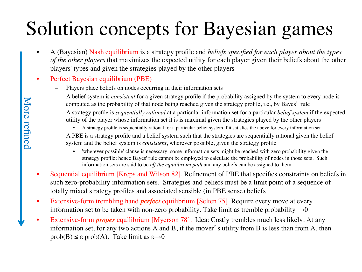# Solution concepts for Bayesian games

- A (Bayesian) Nash equilibrium is a strategy profile and *beliefs specified for each player about the types of the other players* that maximizes the expected utility for each player given their beliefs about the other players' types and given the strategies played by the other players
- Perfect Bayesian equilibrium (PBE)
	- Players place beliefs on nodes occurring in their information sets
	- A belief system is *consistent* for a given strategy profile if the probability assigned by the system to every node is computed as the probability of that node being reached given the strategy profile, i.e., by Bayes' rule
	- A strategy profile is *sequentially rational* at a particular information set for a particular *belief system* if the expected utility of the player whose information set it is is maximal given the strategies played by the other players
		- A strategy profile is sequentially rational for a particular belief system if it satisfies the above for every information set
	- A PBE is a strategy profile and a belief system such that the strategies are sequentially rational given the belief system and the belief system is *consistent*, wherever possible, given the strategy profile
		- 'wherever possible' clause is necessary: some information sets might be reached with zero probability given the strategy profile; hence Bayes' rule cannot be employed to calculate the probability of nodes in those sets. Such information sets are said to be *off the equilibrium path* and any beliefs can be assigned to them
- Sequential equilibrium [Kreps and Wilson 82]. Refinement of PBE that specifies constraints on beliefs in such zero-probability information sets. Strategies and beliefs must be a limit point of a sequence of totally mixed strategy profiles and associated sensible (in PBE sense) beliefs
- Extensive-form trembling hand *perfect* equilibrium [Selten 75]. Require every move at every information set to be taken with non-zero probability. Take limit as tremble probability  $\rightarrow 0$
- Extensive-form *proper* equilibrium [Myerson 78]. Idea: Costly trembles much less likely. At any information set, for any two actions A and B, if the mover's utility from B is less than from A, then prob(B)  $\leq \varepsilon$  prob(A). Take limit as  $\varepsilon \rightarrow 0$